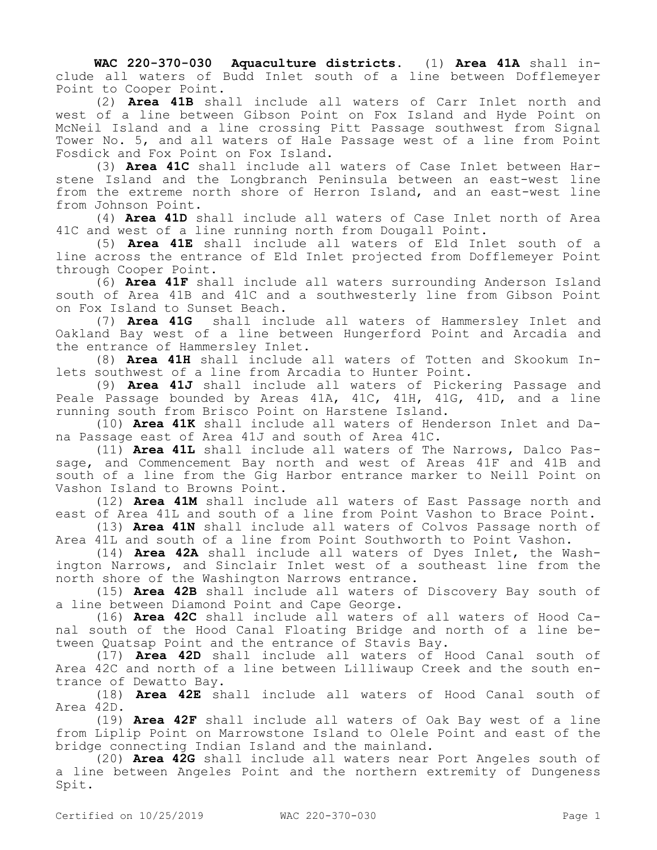**WAC 220-370-030 Aquaculture districts.** (1) **Area 41A** shall include all waters of Budd Inlet south of a line between Dofflemeyer Point to Cooper Point.

(2) **Area 41B** shall include all waters of Carr Inlet north and west of a line between Gibson Point on Fox Island and Hyde Point on McNeil Island and a line crossing Pitt Passage southwest from Signal Tower No. 5, and all waters of Hale Passage west of a line from Point Fosdick and Fox Point on Fox Island.

(3) **Area 41C** shall include all waters of Case Inlet between Harstene Island and the Longbranch Peninsula between an east-west line from the extreme north shore of Herron Island, and an east-west line from Johnson Point.

(4) **Area 41D** shall include all waters of Case Inlet north of Area 41C and west of a line running north from Dougall Point.

(5) **Area 41E** shall include all waters of Eld Inlet south of a line across the entrance of Eld Inlet projected from Dofflemeyer Point through Cooper Point.

(6) **Area 41F** shall include all waters surrounding Anderson Island south of Area 41B and 41C and a southwesterly line from Gibson Point on Fox Island to Sunset Beach.

(7) **Area 41G** shall include all waters of Hammersley Inlet and Oakland Bay west of a line between Hungerford Point and Arcadia and the entrance of Hammersley Inlet.

(8) **Area 41H** shall include all waters of Totten and Skookum Inlets southwest of a line from Arcadia to Hunter Point.

(9) **Area 41J** shall include all waters of Pickering Passage and Peale Passage bounded by Areas 41A, 41C, 41H, 41G, 41D, and a line running south from Brisco Point on Harstene Island.

(10) **Area 41K** shall include all waters of Henderson Inlet and Dana Passage east of Area 41J and south of Area 41C.

(11) **Area 41L** shall include all waters of The Narrows, Dalco Passage, and Commencement Bay north and west of Areas 41F and 41B and south of a line from the Gig Harbor entrance marker to Neill Point on Vashon Island to Browns Point.

(12) **Area 41M** shall include all waters of East Passage north and east of Area 41L and south of a line from Point Vashon to Brace Point.

(13) **Area 41N** shall include all waters of Colvos Passage north of Area 41L and south of a line from Point Southworth to Point Vashon.

(14) **Area 42A** shall include all waters of Dyes Inlet, the Washington Narrows, and Sinclair Inlet west of a southeast line from the north shore of the Washington Narrows entrance.

(15) **Area 42B** shall include all waters of Discovery Bay south of a line between Diamond Point and Cape George.

(16) **Area 42C** shall include all waters of all waters of Hood Canal south of the Hood Canal Floating Bridge and north of a line between Quatsap Point and the entrance of Stavis Bay.

(17) **Area 42D** shall include all waters of Hood Canal south of Area 42C and north of a line between Lilliwaup Creek and the south entrance of Dewatto Bay.

(18) **Area 42E** shall include all waters of Hood Canal south of Area 42D.

(19) **Area 42F** shall include all waters of Oak Bay west of a line from Liplip Point on Marrowstone Island to Olele Point and east of the bridge connecting Indian Island and the mainland.

(20) **Area 42G** shall include all waters near Port Angeles south of a line between Angeles Point and the northern extremity of Dungeness Spit.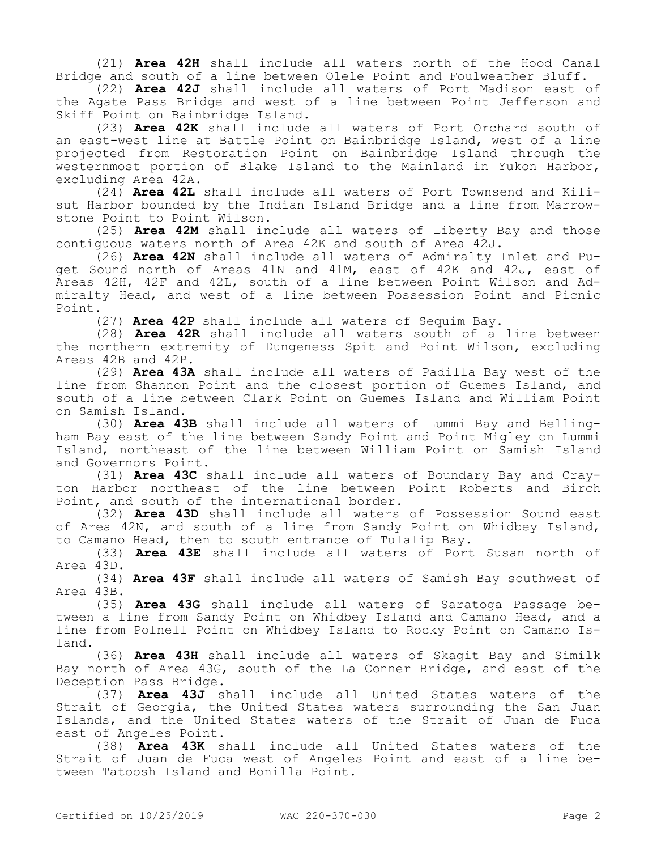(21) **Area 42H** shall include all waters north of the Hood Canal Bridge and south of a line between Olele Point and Foulweather Bluff.

(22) **Area 42J** shall include all waters of Port Madison east of the Agate Pass Bridge and west of a line between Point Jefferson and Skiff Point on Bainbridge Island.

(23) **Area 42K** shall include all waters of Port Orchard south of an east-west line at Battle Point on Bainbridge Island, west of a line projected from Restoration Point on Bainbridge Island through the westernmost portion of Blake Island to the Mainland in Yukon Harbor, excluding Area 42A.

(24) **Area 42L** shall include all waters of Port Townsend and Kilisut Harbor bounded by the Indian Island Bridge and a line from Marrowstone Point to Point Wilson.

(25) **Area 42M** shall include all waters of Liberty Bay and those contiguous waters north of Area 42K and south of Area 42J.

(26) **Area 42N** shall include all waters of Admiralty Inlet and Puget Sound north of Areas 41N and 41M, east of 42K and 42J, east of Areas 42H, 42F and 42L, south of a line between Point Wilson and Admiralty Head, and west of a line between Possession Point and Picnic Point.

(27) **Area 42P** shall include all waters of Sequim Bay.

(28) **Area 42R** shall include all waters south of a line between the northern extremity of Dungeness Spit and Point Wilson, excluding Areas 42B and 42P.

(29) **Area 43A** shall include all waters of Padilla Bay west of the line from Shannon Point and the closest portion of Guemes Island, and south of a line between Clark Point on Guemes Island and William Point on Samish Island.

(30) **Area 43B** shall include all waters of Lummi Bay and Bellingham Bay east of the line between Sandy Point and Point Migley on Lummi Island, northeast of the line between William Point on Samish Island and Governors Point.

(31) **Area 43C** shall include all waters of Boundary Bay and Crayton Harbor northeast of the line between Point Roberts and Birch Point, and south of the international border.

(32) **Area 43D** shall include all waters of Possession Sound east of Area 42N, and south of a line from Sandy Point on Whidbey Island, to Camano Head, then to south entrance of Tulalip Bay.

(33) **Area 43E** shall include all waters of Port Susan north of Area 43D.

(34) **Area 43F** shall include all waters of Samish Bay southwest of Area 43B.

(35) **Area 43G** shall include all waters of Saratoga Passage between a line from Sandy Point on Whidbey Island and Camano Head, and a line from Polnell Point on Whidbey Island to Rocky Point on Camano Island.

(36) **Area 43H** shall include all waters of Skagit Bay and Similk Bay north of Area 43G, south of the La Conner Bridge, and east of the Deception Pass Bridge.

(37) **Area 43J** shall include all United States waters of the Strait of Georgia, the United States waters surrounding the San Juan Islands, and the United States waters of the Strait of Juan de Fuca east of Angeles Point.

(38) **Area 43K** shall include all United States waters of the Strait of Juan de Fuca west of Angeles Point and east of a line between Tatoosh Island and Bonilla Point.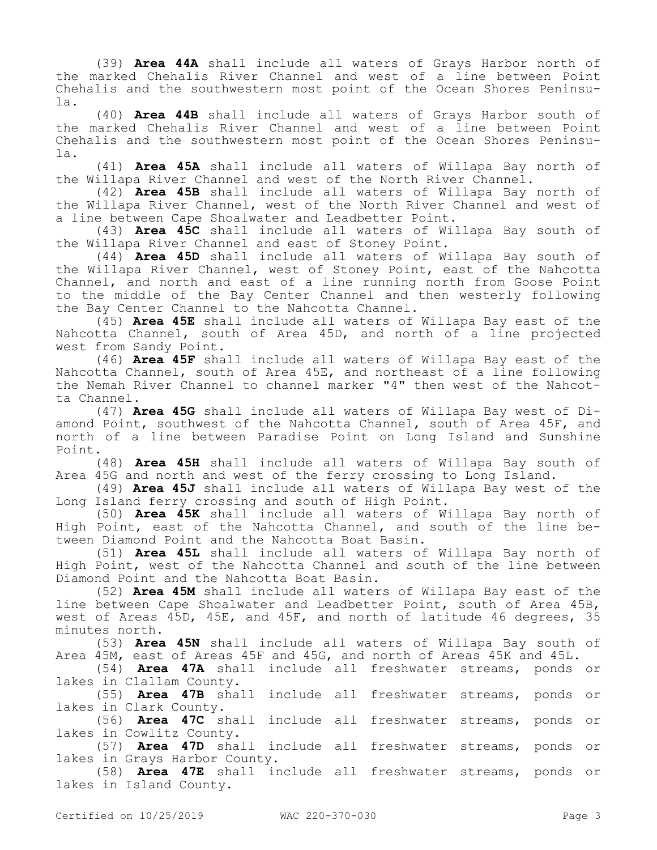(39) **Area 44A** shall include all waters of Grays Harbor north of the marked Chehalis River Channel and west of a line between Point Chehalis and the southwestern most point of the Ocean Shores Peninsula.

(40) **Area 44B** shall include all waters of Grays Harbor south of the marked Chehalis River Channel and west of a line between Point Chehalis and the southwestern most point of the Ocean Shores Peninsula.

(41) **Area 45A** shall include all waters of Willapa Bay north of the Willapa River Channel and west of the North River Channel.

(42) **Area 45B** shall include all waters of Willapa Bay north of the Willapa River Channel, west of the North River Channel and west of a line between Cape Shoalwater and Leadbetter Point.

(43) **Area 45C** shall include all waters of Willapa Bay south of the Willapa River Channel and east of Stoney Point.

(44) **Area 45D** shall include all waters of Willapa Bay south of the Willapa River Channel, west of Stoney Point, east of the Nahcotta Channel, and north and east of a line running north from Goose Point to the middle of the Bay Center Channel and then westerly following the Bay Center Channel to the Nahcotta Channel.

(45) **Area 45E** shall include all waters of Willapa Bay east of the Nahcotta Channel, south of Area 45D, and north of a line projected west from Sandy Point.

(46) **Area 45F** shall include all waters of Willapa Bay east of the Nahcotta Channel, south of Area 45E, and northeast of a line following the Nemah River Channel to channel marker "4" then west of the Nahcotta Channel.

(47) **Area 45G** shall include all waters of Willapa Bay west of Diamond Point, southwest of the Nahcotta Channel, south of Area 45F, and north of a line between Paradise Point on Long Island and Sunshine Point.

(48) **Area 45H** shall include all waters of Willapa Bay south of Area 45G and north and west of the ferry crossing to Long Island.

(49) **Area 45J** shall include all waters of Willapa Bay west of the Long Island ferry crossing and south of High Point.

(50) **Area 45K** shall include all waters of Willapa Bay north of High Point, east of the Nahcotta Channel, and south of the line between Diamond Point and the Nahcotta Boat Basin.

(51) **Area 45L** shall include all waters of Willapa Bay north of High Point, west of the Nahcotta Channel and south of the line between Diamond Point and the Nahcotta Boat Basin.

(52) **Area 45M** shall include all waters of Willapa Bay east of the line between Cape Shoalwater and Leadbetter Point, south of Area 45B, west of Areas 45D, 45E, and 45F, and north of latitude 46 degrees, 35 minutes north.

(53) **Area 45N** shall include all waters of Willapa Bay south of Area 45M, east of Areas 45F and 45G, and north of Areas 45K and 45L.

(54) **Area 47A** shall include all freshwater streams, ponds or lakes in Clallam County.

(55) **Area 47B** shall include all freshwater streams, ponds or lakes in Clark County.

(56) **Area 47C** shall include all freshwater streams, ponds or lakes in Cowlitz County.

(57) **Area 47D** shall include all freshwater streams, ponds or lakes in Grays Harbor County.

(58) **Area 47E** shall include all freshwater streams, ponds or lakes in Island County.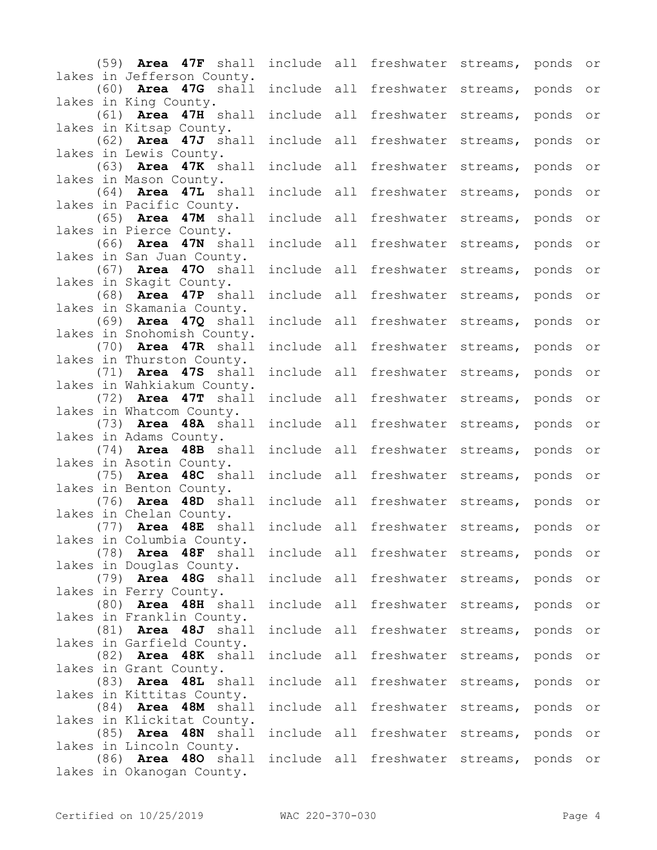| $(59)$ Area 47F shall                              |  |             | include all freshwater streams, ponds or                     |  |                |
|----------------------------------------------------|--|-------------|--------------------------------------------------------------|--|----------------|
| lakes in Jefferson County.                         |  |             |                                                              |  |                |
| $(60)$ Area 47G shall                              |  | include all | freshwater streams, ponds or                                 |  |                |
| lakes in King County.                              |  |             |                                                              |  |                |
| $(61)$ Area 47H shall                              |  | include all | freshwater streams, ponds or                                 |  |                |
| lakes in Kitsap County.<br>$(62)$ Area 47J shall   |  | include all | freshwater streams, ponds                                    |  | or             |
| lakes in Lewis County.                             |  |             |                                                              |  |                |
| $(63)$ Area 47K shall                              |  | include all | freshwater streams, ponds                                    |  | O <sub>T</sub> |
| lakes in Mason County.                             |  |             |                                                              |  |                |
| $(64)$ Area 47L shall                              |  | include all | freshwater streams, ponds                                    |  | O <sub>T</sub> |
| lakes in Pacific County.                           |  |             |                                                              |  |                |
| $(65)$ Area 47M shall<br>lakes in Pierce County.   |  | include all | freshwater streams, ponds                                    |  | O <sub>T</sub> |
| $(66)$ Area 47N shall                              |  | include all | freshwater streams, ponds                                    |  | O <sub>T</sub> |
| lakes in San Juan County.                          |  |             |                                                              |  |                |
| $(67)$ Area 470 shall                              |  | include all | freshwater streams, ponds                                    |  | O <sub>T</sub> |
| lakes in Skagit County.                            |  |             |                                                              |  |                |
| $(68)$ Area 47P shall                              |  | include all | freshwater streams, ponds                                    |  | O <sub>T</sub> |
| lakes in Skamania County.<br>$(69)$ Area 47Q shall |  | include all | freshwater streams, ponds                                    |  | O <sub>T</sub> |
| lakes in Snohomish County.                         |  |             |                                                              |  |                |
| $(70)$ Area 47R shall                              |  | include all | freshwater streams, ponds                                    |  | O <sub>T</sub> |
| lakes in Thurston County.                          |  |             |                                                              |  |                |
| $(71)$ Area 47S shall                              |  | include all | freshwater streams, ponds                                    |  | O <sub>T</sub> |
| lakes in Wahkiakum County.                         |  |             |                                                              |  |                |
| $(72)$ Area 47T shall<br>lakes in Whatcom County.  |  | include all | freshwater streams, ponds                                    |  | O <sub>T</sub> |
| $(73)$ Area 48A shall                              |  | include all | freshwater streams, ponds                                    |  | O <sub>T</sub> |
| lakes in Adams County.                             |  |             |                                                              |  |                |
| $(74)$ Area 48B shall                              |  | include all | freshwater streams, ponds                                    |  | O <sub>T</sub> |
| lakes in Asotin County.                            |  |             |                                                              |  |                |
| $(75)$ Area 48C shall                              |  | include all | freshwater streams, ponds                                    |  | O <sub>T</sub> |
| lakes in Benton County.<br>(76) Area 48D shall     |  | include all | freshwater streams, ponds or                                 |  |                |
| lakes in Chelan County.                            |  |             |                                                              |  |                |
| (77) Area 48E shall                                |  |             | include all freshwater streams, ponds or                     |  |                |
| lakes in Columbia County.                          |  |             |                                                              |  |                |
|                                                    |  |             | (78) Area 48F shall include all freshwater streams, ponds or |  |                |
| lakes in Douglas County.                           |  |             | (79) Area 48G shall include all freshwater streams, ponds or |  |                |
| lakes in Ferry County.                             |  |             |                                                              |  |                |
| $(80)$ Area 48H shall                              |  |             | include all freshwater streams, ponds or                     |  |                |
| lakes in Franklin County.                          |  |             |                                                              |  |                |
| $(81)$ Area 48J shall                              |  |             | include all freshwater streams, ponds or                     |  |                |
| lakes in Garfield County.                          |  |             | include all freshwater streams, ponds or                     |  |                |
| $(82)$ Area 48K shall<br>lakes in Grant County.    |  |             |                                                              |  |                |
| $(83)$ Area 48L shall                              |  |             | include all freshwater streams, ponds or                     |  |                |
| lakes in Kittitas County.                          |  |             |                                                              |  |                |
| $(84)$ Area 48M shall                              |  |             | include all freshwater streams, ponds or                     |  |                |
| lakes in Klickitat County.                         |  |             |                                                              |  |                |
| $(85)$ Area 48N shall<br>lakes in Lincoln County.  |  |             | include all freshwater streams, ponds or                     |  |                |
|                                                    |  |             | (86) Area 480 shall include all freshwater streams, ponds or |  |                |
| lakes in Okanogan County.                          |  |             |                                                              |  |                |